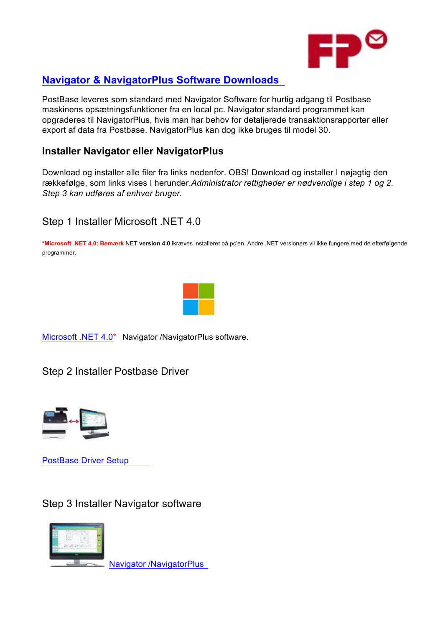

# **Navigator & NavigatorPlus Software Downloads**

PostBase leveres som standard med Navigator Software for hurtig adgang til Postbase maskinens opsætningsfunktioner fra en local pc. Navigator standard programmet kan opgraderes til NavigatorPlus, hvis man har behov for detaljerede transaktionsrapporter eller export af data fra Postbase. NavigatorPlus kan dog ikke bruges til model 30.

#### **Installer Navigator eller NavigatorPlus**

Download og installer alle filer fra links nedenfor. OBS! Download og installer I nøjagtig den rækkefølge, som links vises I herunder.*Administrator rettigheder er nødvendige i step 1 og 2. Step 3 kan udføres af enhver bruger.* 

### Step 1 Installer Microsoft .NET 4.0

**\*Microsoft .NET 4.0: Bemærk** NET **version 4.0** ikræves installeret på pc'en. Andre .NET versioners vil ikke fungere med de efterfølgende programmer.



Microsoft .NET 4.0\* Navigator /NavigatorPlus software.

Step 2 Installer Postbase Driver



PostBase Driver Setup

Step 3 Installer Navigator software



Navigator /NavigatorPlus